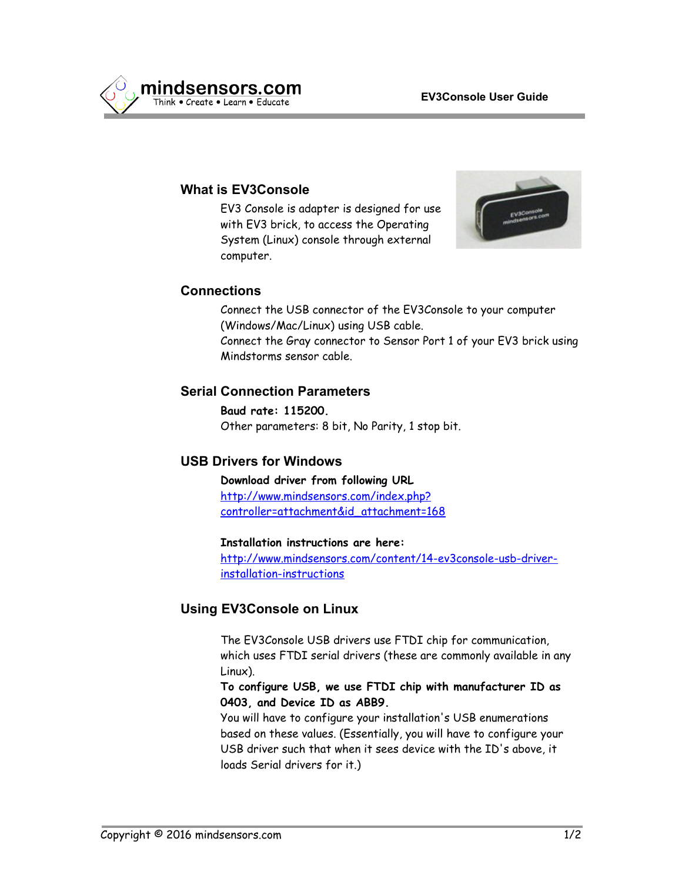

## **What is EV3Console**

EV3 Console is adapter is designed for use with EV3 brick, to access the Operating System (Linux) console through external computer.



### **Connections**

Connect the USB connector of the EV3Console to your computer (Windows/Mac/Linux) using USB cable. Connect the Gray connector to Sensor Port 1 of your EV3 brick using Mindstorms sensor cable.

### **Serial Connection Parameters**

**Baud rate: 115200.** Other parameters: 8 bit, No Parity, 1 stop bit.

## **USB Drivers for Windows**

**Download driver from following URL** [http://www.mindsensors.com/index.php?](http://www.mindsensors.com/index.php?controller=attachment&id_attachment=168) [controller=attachment&id\\_attachment=168](http://www.mindsensors.com/index.php?controller=attachment&id_attachment=168)

#### **Installation instructions are here:**

[http://www.mindsensors.com/content/14-ev3console-usb-driver](http://www.mindsensors.com/content/14-ev3console-usb-driver-installation-instructions)[installation-instructions](http://www.mindsensors.com/content/14-ev3console-usb-driver-installation-instructions)

### **Using EV3Console on Linux**

The EV3Console USB drivers use FTDI chip for communication, which uses FTDI serial drivers (these are commonly available in any Linux).

**To configure USB, we use FTDI chip with manufacturer ID as 0403, and Device ID as ABB9.**

You will have to configure your installation's USB enumerations based on these values. (Essentially, you will have to configure your USB driver such that when it sees device with the ID's above, it loads Serial drivers for it.)